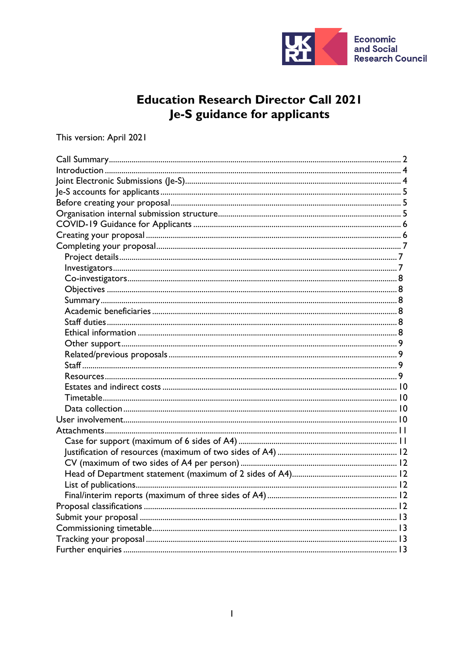

# **Education Research Director Call 2021** Je-S guidance for applicants

# This version: April 2021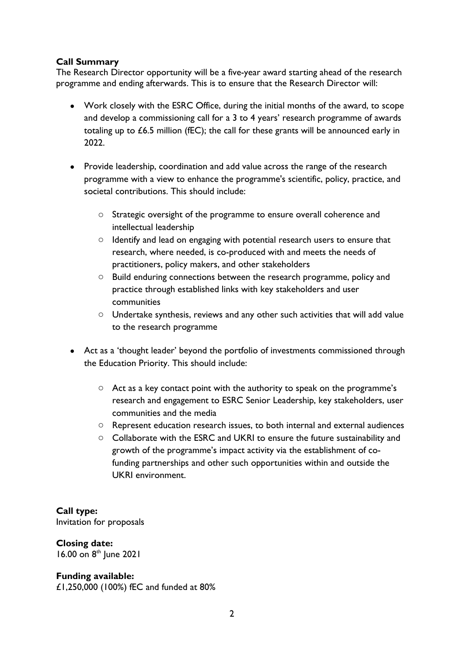## <span id="page-1-0"></span>**Call Summary**

The Research Director opportunity will be a five-year award starting ahead of the research programme and ending afterwards. This is to ensure that the Research Director will:

- Work closely with the ESRC Office, during the initial months of the award, to scope and develop a commissioning call for a 3 to 4 years' research programme of awards totaling up to £6.5 million (fEC); the call for these grants will be announced early in 2022.
- Provide leadership, coordination and add value across the range of the research programme with a view to enhance the programme's scientific, policy, practice, and societal contributions. This should include:
	- o Strategic oversight of the programme to ensure overall coherence and intellectual leadership
	- o Identify and lead on engaging with potential research users to ensure that research, where needed, is co-produced with and meets the needs of practitioners, policy makers, and other stakeholders
	- o Build enduring connections between the research programme, policy and practice through established links with key stakeholders and user communities
	- o Undertake synthesis, reviews and any other such activities that will add value to the research programme
- Act as a 'thought leader' beyond the portfolio of investments commissioned through the Education Priority. This should include:
	- o Act as a key contact point with the authority to speak on the programme's research and engagement to ESRC Senior Leadership, key stakeholders, user communities and the media
	- o Represent education research issues, to both internal and external audiences
	- o Collaborate with the ESRC and UKRI to ensure the future sustainability and growth of the programme's impact activity via the establishment of cofunding partnerships and other such opportunities within and outside the UKRI environment.

**Call type:**  Invitation for proposals

# **Closing date:**

16.00 on 8<sup>th</sup> June 2021

## **Funding available:**

£1,250,000 (100%) fEC and funded at 80%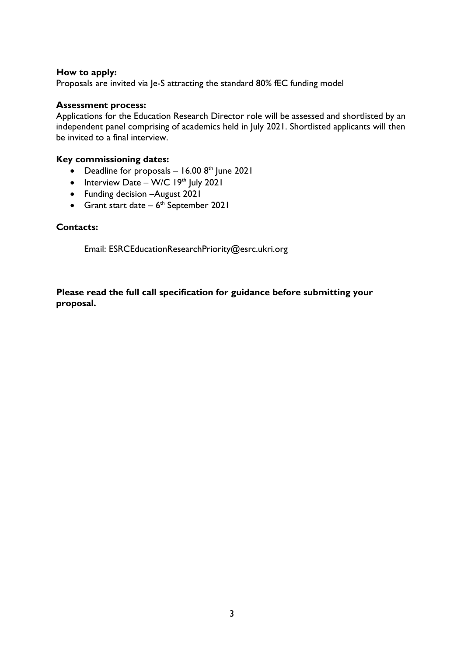## **How to apply:**

Proposals are invited via Je-S attracting the standard 80% fEC funding model

## **Assessment process:**

Applications for the Education Research Director role will be assessed and shortlisted by an independent panel comprising of academics held in July 2021. Shortlisted applicants will then be invited to a final interview.

## **Key commissioning dates:**

- Deadline for proposals  $-16.008$ <sup>th</sup> June 2021
- Interview Date W/C  $19<sup>th</sup>$  July 2021
- Funding decision –August 2021
- Grant start date  $-6$ <sup>th</sup> September 2021

## **Contacts:**

Email: ESRCEducationResearchPriority@esrc.ukri.org

## **Please read the full call specification for guidance before submitting your proposal.**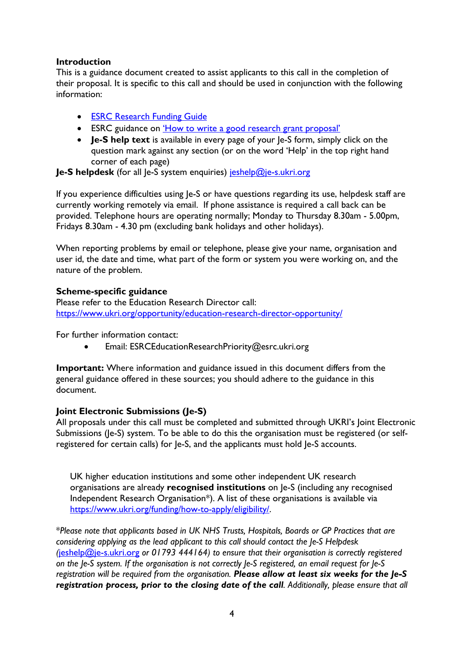## <span id="page-3-0"></span>**Introduction**

This is a guidance document created to assist applicants to this call in the completion of their proposal. It is specific to this call and should be used in conjunction with the following information:

- **[ESRC Research Funding Guide](https://esrc.ukri.org/funding/guidance-for-applicants/research-funding-guide/)**
- ESRC guidance on *'How to [write a good research grant proposal'](https://esrc.ukri.org/funding/guidance-for-applicants/how-to-write-a-good-research-grant-proposal/)*
- **Je-S help text** is available in every page of your le-S form, simply click on the question mark against any section (or on the word 'Help' in the top right hand corner of each page)

**Je-S helpdesk** (for all Je-S system enquiries) [jeshelp@je-s.ukri.org](mailto:jeshelp@je-s.ukri.org)

If you experience difficulties using le-S or have questions regarding its use, helpdesk staff are currently working remotely via email. If phone assistance is required a call back can be provided. Telephone hours are operating normally; Monday to Thursday 8.30am - 5.00pm, Fridays 8.30am - 4.30 pm (excluding bank holidays and other holidays).

When reporting problems by email or telephone, please give your name, organisation and user id, the date and time, what part of the form or system you were working on, and the nature of the problem.

## **Scheme-specific guidance**

Please refer to the Education Research Director call: <https://www.ukri.org/opportunity/education-research-director-opportunity/>

For further information contact:

• Email: ESRCEducationResearchPriority@esrc.ukri.org

**Important:** Where information and guidance issued in this document differs from the general guidance offered in these sources; you should adhere to the guidance in this document.

## <span id="page-3-1"></span>**Joint Electronic Submissions (Je-S)**

All proposals under this call must be completed and submitted through UKRI's Joint Electronic Submissions (Ie-S) system. To be able to do this the organisation must be registered (or selfregistered for certain calls) for Je-S, and the applicants must hold Je-S accounts.

UK higher education institutions and some other independent UK research organisations are already **recognised institutions** on Je-S (including any recognised Independent Research Organisation\*). A list of these organisations is available via [https://www.ukri.org/funding/how-to-apply/eligibility/.](https://www.ukri.org/funding/how-to-apply/eligibility/)

\**Please note that applicants based in UK NHS Trusts, Hospitals, Boards or GP Practices that are considering applying as the lead applicant to this call should contact the Je-S Helpdesk (*[jeshelp@je-s.ukri.org](mailto:jeshelp@je-s.ukri.org) *or 01793 444164) to ensure that their organisation is correctly registered on the Je-S system. If the organisation is not correctly Je-S registered, an email request for Je-S registration will be required from the organisation. Please allow at least six weeks for the Je-S registration process, prior to the closing date of the call. Additionally, please ensure that all*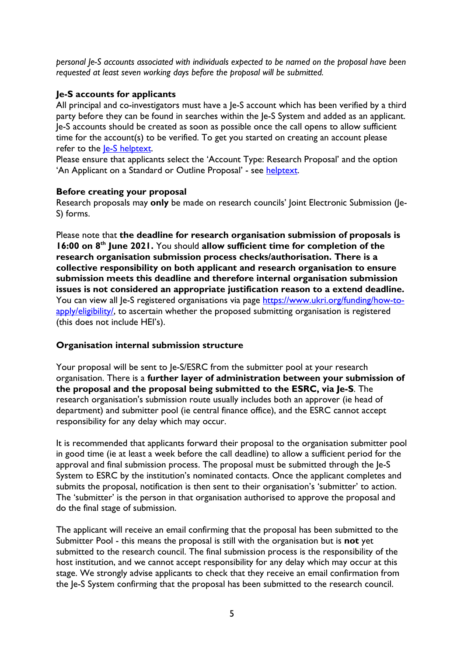*personal Je-S accounts associated with individuals expected to be named on the proposal have been requested at least seven working days before the proposal will be submitted.*

# <span id="page-4-0"></span>**Je-S accounts for applicants**

All principal and co-investigators must have a Je-S account which has been verified by a third party before they can be found in searches within the Je-S System and added as an applicant. Je-S accounts should be created as soon as possible once the call opens to allow sufficient time for the account(s) to be verified. To get you started on creating an account please refer to the *le-S* helptext.

Please ensure that applicants select the 'Account Type: Research Proposal' and the option 'An Applicant on a Standard or Outline Proposal' - see [helptext.](https://je-s.rcuk.ac.uk/Handbook/pages/SettingupaJeSaccount/SettingupaJeSaccount.htm)

## <span id="page-4-1"></span>**Before creating your proposal**

Research proposals may **only** be made on research councils' Joint Electronic Submission (Je-S) forms.

Please note that **the deadline for research organisation submission of proposals is 16:00 on 8th June 2021.** You should **allow sufficient time for completion of the research organisation submission process checks/authorisation. There is a collective responsibility on both applicant and research organisation to ensure submission meets this deadline and therefore internal organisation submission issues is not considered an appropriate justification reason to a extend deadline.** You can view all Je-S registered organisations via page [https://www.ukri.org/funding/how-to](https://www.ukri.org/funding/how-to-apply/eligibility/)[apply/eligibility/,](https://www.ukri.org/funding/how-to-apply/eligibility/) to ascertain whether the proposed submitting organisation is registered (this does not include HEI's).

## <span id="page-4-2"></span>**Organisation internal submission structure**

Your proposal will be sent to Je-S/ESRC from the submitter pool at your research organisation. There is a **further layer of administration between your submission of the proposal and the proposal being submitted to the ESRC, via Je-S**. The research organisation's submission route usually includes both an approver (ie head of department) and submitter pool (ie central finance office), and the ESRC cannot accept responsibility for any delay which may occur.

It is recommended that applicants forward their proposal to the organisation submitter pool in good time (ie at least a week before the call deadline) to allow a sufficient period for the approval and final submission process. The proposal must be submitted through the Je-S System to ESRC by the institution's nominated contacts. Once the applicant completes and submits the proposal, notification is then sent to their organisation's 'submitter' to action. The 'submitter' is the person in that organisation authorised to approve the proposal and do the final stage of submission.

The applicant will receive an email confirming that the proposal has been submitted to the Submitter Pool - this means the proposal is still with the organisation but is **not** yet submitted to the research council. The final submission process is the responsibility of the host institution, and we cannot accept responsibility for any delay which may occur at this stage. We strongly advise applicants to check that they receive an email confirmation from the Je-S System confirming that the proposal has been submitted to the research council.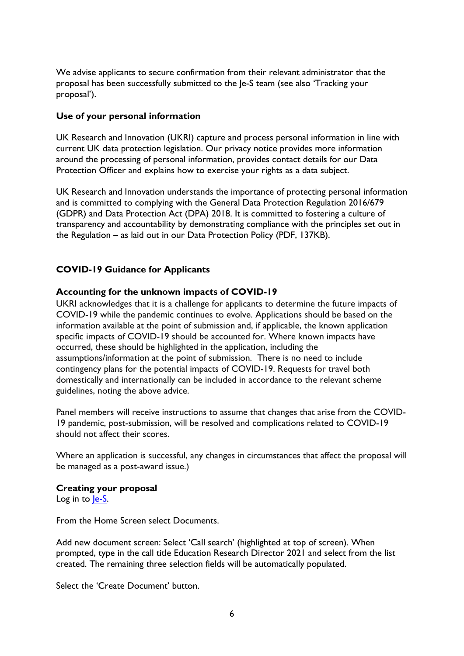We advise applicants to secure confirmation from their relevant administrator that the proposal has been successfully submitted to the Je-S team (see also 'Tracking your proposal').

## **Use of your personal information**

UK Research and Innovation (UKRI) capture and process personal information in line with current UK data protection legislation. Our privacy notice provides more information around the processing of personal information, provides contact details for our Data Protection Officer and explains how to exercise your rights as a data subject.

UK Research and Innovation understands the importance of protecting personal information and is committed to complying with the General Data Protection Regulation 2016/679 (GDPR) and Data Protection Act (DPA) 2018. It is committed to fostering a culture of transparency and accountability by demonstrating compliance with the principles set out in the Regulation – as laid out in our Data Protection Policy (PDF, 137KB).

# <span id="page-5-0"></span>**COVID-19 Guidance for Applicants**

## **Accounting for the unknown impacts of COVID-19**

UKRI acknowledges that it is a challenge for applicants to determine the future impacts of COVID-19 while the pandemic continues to evolve. Applications should be based on the information available at the point of submission and, if applicable, the known application specific impacts of COVID-19 should be accounted for. Where known impacts have occurred, these should be highlighted in the application, including the assumptions/information at the point of submission. There is no need to include contingency plans for the potential impacts of COVID-19. Requests for travel both domestically and internationally can be included in accordance to the relevant scheme guidelines, noting the above advice.

Panel members will receive instructions to assume that changes that arise from the COVID-19 pandemic, post-submission, will be resolved and complications related to COVID-19 should not affect their scores.

Where an application is successful, any changes in circumstances that affect the proposal will be managed as a post-award issue.)

## <span id="page-5-1"></span>**Creating your proposal**

Log in to le-S.

From the Home Screen select Documents.

Add new document screen: Select 'Call search' (highlighted at top of screen). When prompted, type in the call title Education Research Director 2021 and select from the list created. The remaining three selection fields will be automatically populated.

Select the 'Create Document' button.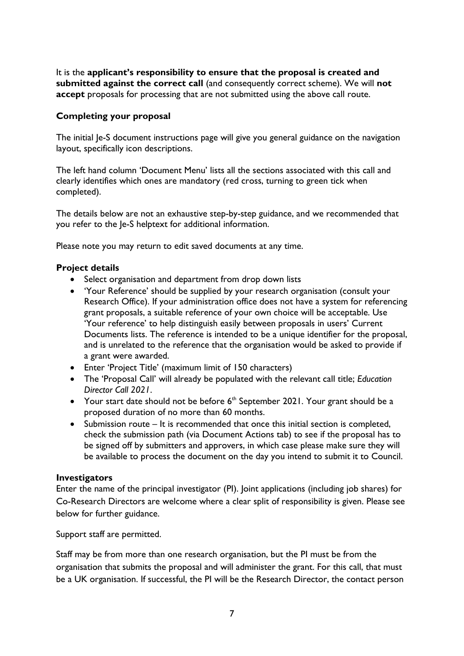It is the **applicant's responsibility to ensure that the proposal is created and submitted against the correct call** (and consequently correct scheme). We will **not accept** proposals for processing that are not submitted using the above call route.

## <span id="page-6-0"></span>**Completing your proposal**

The initial Je-S document instructions page will give you general guidance on the navigation layout, specifically icon descriptions.

The left hand column 'Document Menu' lists all the sections associated with this call and clearly identifies which ones are mandatory (red cross, turning to green tick when completed).

The details below are not an exhaustive step-by-step guidance, and we recommended that you refer to the Je-S helptext for additional information.

Please note you may return to edit saved documents at any time.

## <span id="page-6-1"></span>**Project details**

- Select organisation and department from drop down lists
- 'Your Reference' should be supplied by your research organisation (consult your Research Office). If your administration office does not have a system for referencing grant proposals, a suitable reference of your own choice will be acceptable. Use 'Your reference' to help distinguish easily between proposals in users' Current Documents lists. The reference is intended to be a unique identifier for the proposal, and is unrelated to the reference that the organisation would be asked to provide if a grant were awarded.
- Enter 'Project Title' (maximum limit of 150 characters)
- The 'Proposal Call' will already be populated with the relevant call title; *Education Director Call 2021*.
- Your start date should not be before  $6<sup>th</sup>$  September 2021. Your grant should be a proposed duration of no more than 60 months.
- Submission route It is recommended that once this initial section is completed, check the submission path (via Document Actions tab) to see if the proposal has to be signed off by submitters and approvers, in which case please make sure they will be available to process the document on the day you intend to submit it to Council.

## <span id="page-6-2"></span>**Investigators**

Enter the name of the principal investigator (PI). Joint applications (including job shares) for Co-Research Directors are welcome where a clear split of responsibility is given. Please see below for further guidance.

Support staff are permitted.

Staff may be from more than one research organisation, but the PI must be from the organisation that submits the proposal and will administer the grant. For this call, that must be a UK organisation. If successful, the PI will be the Research Director, the contact person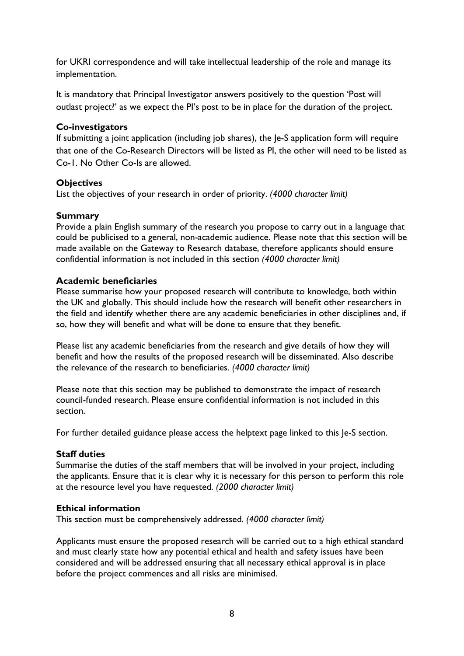for UKRI correspondence and will take intellectual leadership of the role and manage its implementation.

It is mandatory that Principal Investigator answers positively to the question 'Post will outlast project?' as we expect the PI's post to be in place for the duration of the project.

## <span id="page-7-0"></span>**Co-investigators**

If submitting a joint application (including job shares), the Je-S application form will require that one of the Co-Research Directors will be listed as PI, the other will need to be listed as Co-1. No Other Co-Is are allowed.

## <span id="page-7-1"></span>**Objectives**

List the objectives of your research in order of priority. *(4000 character limit)*

## <span id="page-7-2"></span>**Summary**

Provide a plain English summary of the research you propose to carry out in a language that could be publicised to a general, non-academic audience. Please note that this section will be made available on the Gateway to Research database, therefore applicants should ensure confidential information is not included in this section *(4000 character limit)*

## <span id="page-7-3"></span>**Academic beneficiaries**

Please summarise how your proposed research will contribute to knowledge, both within the UK and globally. This should include how the research will benefit other researchers in the field and identify whether there are any academic beneficiaries in other disciplines and, if so, how they will benefit and what will be done to ensure that they benefit.

Please list any academic beneficiaries from the research and give details of how they will benefit and how the results of the proposed research will be disseminated. Also describe the relevance of the research to beneficiaries. *(4000 character limit)*

Please note that this section may be published to demonstrate the impact of research council-funded research. Please ensure confidential information is not included in this section.

For further detailed guidance please access the helptext page linked to this Je-S section.

#### <span id="page-7-4"></span>**Staff duties**

Summarise the duties of the staff members that will be involved in your project, including the applicants. Ensure that it is clear why it is necessary for this person to perform this role at the resource level you have requested. *(2000 character limit)*

#### <span id="page-7-5"></span>**Ethical information**

This section must be comprehensively addressed. *(4000 character limit)*

Applicants must ensure the proposed research will be carried out to a high ethical standard and must clearly state how any potential ethical and health and safety issues have been considered and will be addressed ensuring that all necessary ethical approval is in place before the project commences and all risks are minimised.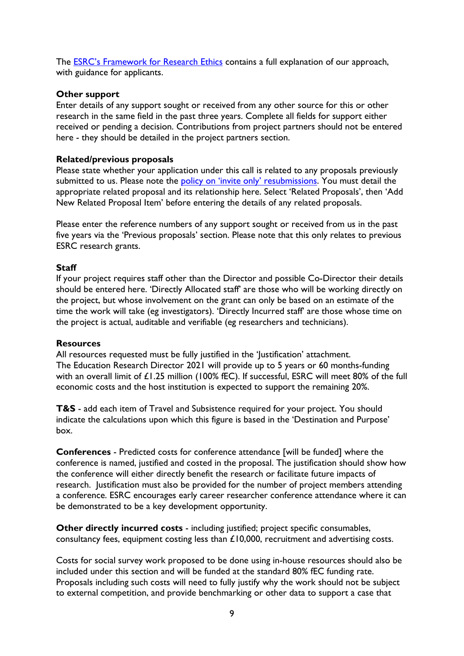The **ESRC's Framework for Research Ethics** contains a full explanation of our approach, with guidance for applicants.

## <span id="page-8-0"></span>**Other support**

Enter details of any support sought or received from any other source for this or other research in the same field in the past three years. Complete all fields for support either received or pending a decision. Contributions from project partners should not be entered here - they should be detailed in the project partners section.

## <span id="page-8-1"></span>**Related/previous proposals**

Please state whether your application under this call is related to any proposals previously submitted to us. Please note the [policy on 'invite only' resubmissions.](https://esrc.ukri.org/funding/guidance-for-applicants/resubmissions-policy/) You must detail the appropriate related proposal and its relationship here. Select 'Related Proposals', then 'Add New Related Proposal Item' before entering the details of any related proposals.

Please enter the reference numbers of any support sought or received from us in the past five years via the 'Previous proposals' section. Please note that this only relates to previous ESRC research grants.

## <span id="page-8-2"></span>**Staff**

If your project requires staff other than the Director and possible Co-Director their details should be entered here. 'Directly Allocated staff' are those who will be working directly on the project, but whose involvement on the grant can only be based on an estimate of the time the work will take (eg investigators). 'Directly Incurred staff' are those whose time on the project is actual, auditable and verifiable (eg researchers and technicians).

#### <span id="page-8-3"></span>**Resources**

All resources requested must be fully justified in the 'Justification' attachment. The Education Research Director 2021 will provide up to 5 years or 60 months-funding with an overall limit of £1.25 million (100% fEC). If successful, ESRC will meet 80% of the full economic costs and the host institution is expected to support the remaining 20%.

**T&S** - add each item of Travel and Subsistence required for your project. You should indicate the calculations upon which this figure is based in the 'Destination and Purpose' box.

**Conferences** - Predicted costs for conference attendance [will be funded] where the conference is named, justified and costed in the proposal. The justification should show how the conference will either directly benefit the research or facilitate future impacts of research. Justification must also be provided for the number of project members attending a conference. ESRC encourages early career researcher conference attendance where it can be demonstrated to be a key development opportunity.

**Other directly incurred costs** - including justified; project specific consumables, consultancy fees, equipment costing less than £10,000, recruitment and advertising costs.

Costs for social survey work proposed to be done using in-house resources should also be included under this section and will be funded at the standard 80% fEC funding rate. Proposals including such costs will need to fully justify why the work should not be subject to external competition, and provide benchmarking or other data to support a case that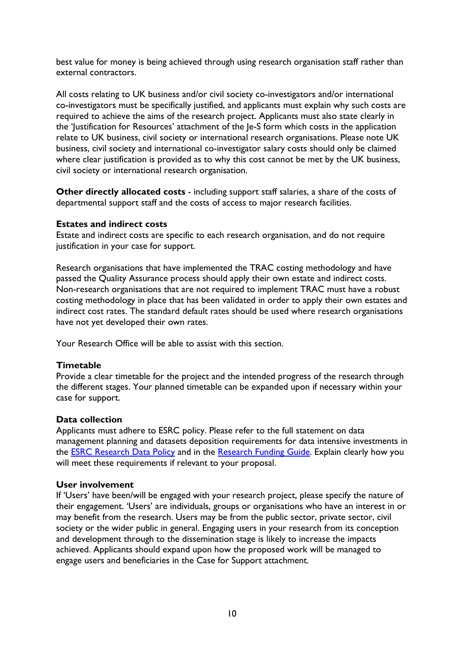best value for money is being achieved through using research organisation staff rather than external contractors.

All costs relating to UK business and/or civil society co-investigators and/or international co-investigators must be specifically justified, and applicants must explain why such costs are required to achieve the aims of the research project. Applicants must also state clearly in the 'Justification for Resources' attachment of the Je-S form which costs in the application relate to UK business, civil society or international research organisations. Please note UK business, civil society and international co-investigator salary costs should only be claimed where clear justification is provided as to why this cost cannot be met by the UK business, civil society or international research organisation.

**Other directly allocated costs** - including support staff salaries, a share of the costs of departmental support staff and the costs of access to major research facilities.

#### <span id="page-9-0"></span>**Estates and indirect costs**

Estate and indirect costs are specific to each research organisation, and do not require justification in your case for support.

Research organisations that have implemented the TRAC costing methodology and have passed the Quality Assurance process should apply their own estate and indirect costs. Non-research organisations that are not required to implement TRAC must have a robust costing methodology in place that has been validated in order to apply their own estates and indirect cost rates. The standard default rates should be used where research organisations have not yet developed their own rates.

Your Research Office will be able to assist with this section.

#### <span id="page-9-1"></span>**Timetable**

Provide a clear timetable for the project and the intended progress of the research through the different stages. Your planned timetable can be expanded upon if necessary within your case for support.

#### <span id="page-9-2"></span>**Data collection**

Applicants must adhere to ESRC policy. Please refer to the full statement on data management planning and datasets deposition requirements for data intensive investments in the [ESRC Research](https://esrc.ukri.org/funding/guidance-for-grant-holders/research-data-policy/) Data Policy and in the [Research Funding](https://esrc.ukri.org/funding/guidance-for-applicants/research-funding-guide/) Guide. Explain clearly how you will meet these requirements if relevant to your proposal.

#### <span id="page-9-3"></span>**User involvement**

If 'Users' have been/will be engaged with your research project, please specify the nature of their engagement. 'Users' are individuals, groups or organisations who have an interest in or may benefit from the research. Users may be from the public sector, private sector, civil society or the wider public in general. Engaging users in your research from its conception and development through to the dissemination stage is likely to increase the impacts achieved. Applicants should expand upon how the proposed work will be managed to engage users and beneficiaries in the Case for Support attachment.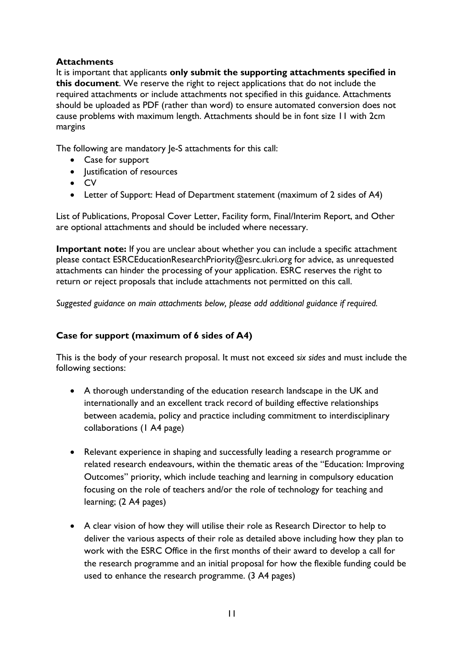# <span id="page-10-0"></span>**Attachments**

It is important that applicants **only submit the supporting attachments specified in this document**. We reserve the right to reject applications that do not include the required attachments or include attachments not specified in this guidance. Attachments should be uploaded as PDF (rather than word) to ensure automated conversion does not cause problems with maximum length. Attachments should be in font size 11 with 2cm margins

The following are mandatory Je-S attachments for this call:

- Case for support
- Justification of resources
- CV
- Letter of Support: Head of Department statement (maximum of 2 sides of A4)

List of Publications, Proposal Cover Letter, Facility form, Final/Interim Report, and Other are optional attachments and should be included where necessary.

**Important note:** If you are unclear about whether you can include a specific attachment please contact ESRCEducationResearchPriority@esrc.ukri.org for advice, as unrequested attachments can hinder the processing of your application. ESRC reserves the right to return or reject proposals that include attachments not permitted on this call.

*Suggested guidance on main attachments below, please add additional guidance if required.*

# <span id="page-10-1"></span>**Case for support (maximum of 6 sides of A4)**

This is the body of your research proposal. It must not exceed *six sides* and must include the following sections:

- A thorough understanding of the education research landscape in the UK and internationally and an excellent track record of building effective relationships between academia, policy and practice including commitment to interdisciplinary collaborations (1 A4 page)
- Relevant experience in shaping and successfully leading a research programme or related research endeavours, within the thematic areas of the "Education: Improving Outcomes" priority, which include teaching and learning in compulsory education focusing on the role of teachers and/or the role of technology for teaching and learning; (2 A4 pages)
- A clear vision of how they will utilise their role as Research Director to help to deliver the various aspects of their role as detailed above including how they plan to work with the ESRC Office in the first months of their award to develop a call for the research programme and an initial proposal for how the flexible funding could be used to enhance the research programme. (3 A4 pages)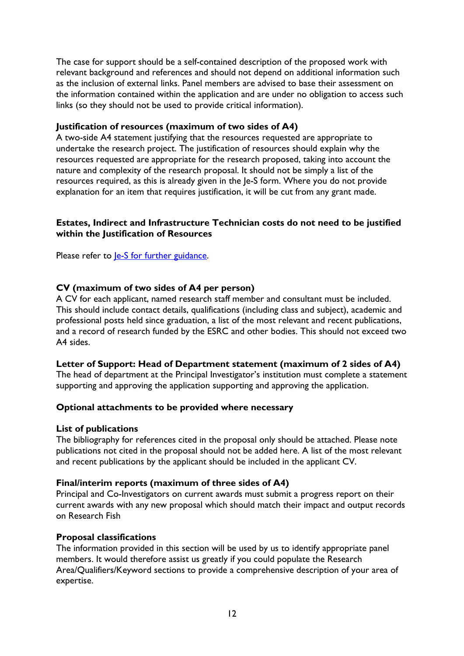The case for support should be a self-contained description of the proposed work with relevant background and references and should not depend on additional information such as the inclusion of external links. Panel members are advised to base their assessment on the information contained within the application and are under no obligation to access such links (so they should not be used to provide critical information).

## <span id="page-11-0"></span>**Justification of resources (maximum of two sides of A4)**

A two-side A4 statement justifying that the resources requested are appropriate to undertake the research project. The justification of resources should explain why the resources requested are appropriate for the research proposed, taking into account the nature and complexity of the research proposal. It should not be simply a list of the resources required, as this is already given in the Je-S form. Where you do not provide explanation for an item that requires justification, it will be cut from any grant made.

## **Estates, Indirect and Infrastructure Technician costs do not need to be justified within the Justification of Resources**

Please refer to <u>Je-S for further guidance</u>.

## <span id="page-11-1"></span>**CV (maximum of two sides of A4 per person)**

A CV for each applicant, named research staff member and consultant must be included. This should include contact details, qualifications (including class and subject), academic and professional posts held since graduation, a list of the most relevant and recent publications, and a record of research funded by the ESRC and other bodies. This should not exceed two A4 sides.

## <span id="page-11-2"></span>**Letter of Support: Head of Department statement (maximum of 2 sides of A4)**

The head of department at the Principal Investigator's institution must complete a statement supporting and approving the application supporting and approving the application.

## **Optional attachments to be provided where necessary**

#### <span id="page-11-3"></span>**List of publications**

The bibliography for references cited in the proposal only should be attached. Please note publications not cited in the proposal should not be added here. A list of the most relevant and recent publications by the applicant should be included in the applicant CV.

## <span id="page-11-4"></span>**Final/interim reports (maximum of three sides of A4)**

Principal and Co-Investigators on current awards must submit a progress report on their current awards with any new proposal which should match their impact and output records on Research Fish

#### <span id="page-11-5"></span>**Proposal classifications**

The information provided in this section will be used by us to identify appropriate panel members. It would therefore assist us greatly if you could populate the Research Area/Qualifiers/Keyword sections to provide a comprehensive description of your area of expertise.